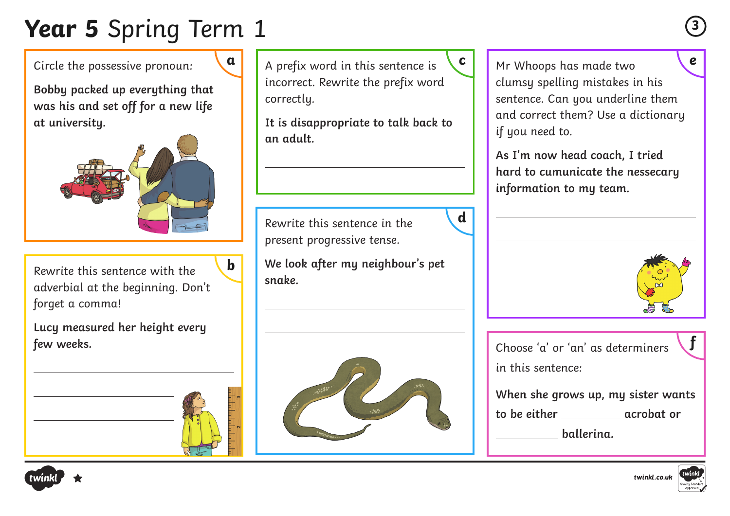# **Year 5** Spring Term 1 **<sup>3</sup>**

Circle the possessive pronoun:

**Bobby packed up everything that was his and set off for a new life at university.**



Rewrite this sentence with the adverbial at the beginning. Don't forget a comma!

**b**

**Lucy measured her height every few weeks.** 

incorrect. Rewrite the prefix word correctly.

**It is disappropriate to talk back to an adult.**

Rewrite this sentence in the present progressive tense.

**We look after my neighbour's pet snake.**

**d**



A prefix word in this sentence is **a c e** Mr Whoops has made two clumsy spelling mistakes in his sentence. Can you underline them and correct them? Use a dictionary if you need to.

> **As I'm now head coach, I tried hard to cumunicate the nessecary information to my team.**



Choose 'a' or 'an' as determiners in this sentence: **f**

**When she grows up, my sister wants**  to be either **acrobat** or

 **ballerina.** 





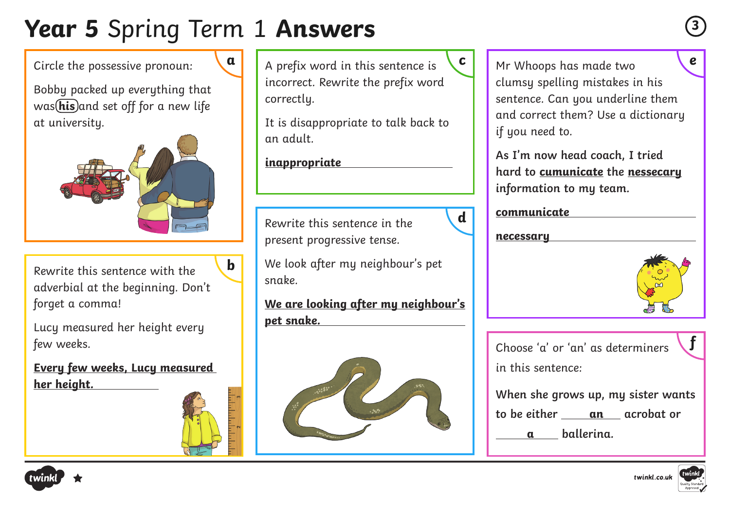### **Year 5** Spring Term 1 **Answers <sup>3</sup>**

**b**

Circle the possessive pronoun:

Bobby packed up everything that was (his)and set off for a new life at university.



Rewrite this sentence with the adverbial at the beginning. Don't forget a comma!

Lucy measured her height every few weeks.

**Every few weeks, Lucy measured her height.** 

incorrect. Rewrite the prefix word correctly.

It is disappropriate to talk back to an adult.

**inappropriate** 

Rewrite this sentence in the present progressive tense.

We look after my neighbour's pet snake.

**We are looking after my neighbour's pet snake.** 



A prefix word in this sentence is **a c e** Mr Whoops has made two clumsy spelling mistakes in his sentence. Can you underline them and correct them? Use a dictionary if you need to.

> **As I'm now head coach, I tried hard to cumunicate the nessecary information to my team.**

#### **communicate**

**necessary**

**d**



Choose 'a' or 'an' as determiners in this sentence:

**When she grows up, my sister wants to be either an acrobat or** 

**a ballerina.** 





**f**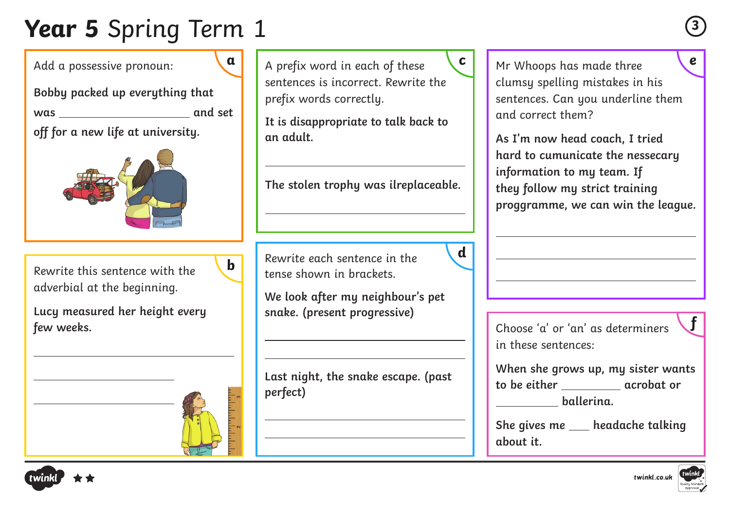# **Year 5** Spring Term 1 **<sup>3</sup>**

Add a possessive pronoun:

**Bobby packed up everything that was and set** 

**off for a new life at university.**



Rewrite this sentence with the adverbial at the beginning.

**Lucy measured her height every few weeks.** 

A prefix word in each of these **a c e** sentences is incorrect. Rewrite the prefix words correctly.

**It is disappropriate to talk back to an adult.**

**The stolen trophy was ilreplaceable.**

**d**

Rewrite each sentence in the tense shown in brackets.

**b**

**We look after my neighbour's pet snake. (present progressive)**

**Last night, the snake escape. (past perfect)**

Mr Whoops has made three clumsy spelling mistakes in his sentences. Can you underline them and correct them?

**As I'm now head coach, I tried hard to cumunicate the nessecary information to my team. If they follow my strict training proggramme, we can win the league.**

Choose 'a' or 'an' as determiners in these sentences:

**When she grows up, my sister wants to be either acrobat or ballerina.** 

She gives me \_\_\_\_ headache talking **about it.**





**f**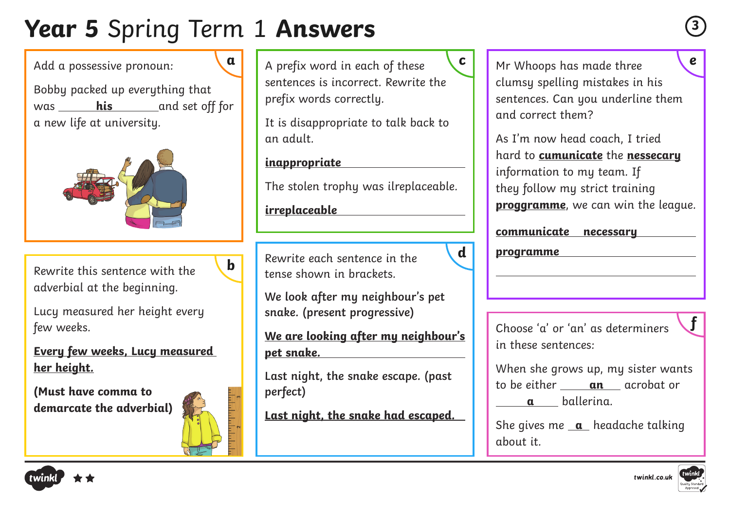# **Year 5** Spring Term 1 **Answers <sup>3</sup>**

Add a possessive pronoun:

Bobby packed up everything that was **his** and set off for a new life at university.



Rewrite this sentence with the adverbial at the beginning.

Lucy measured her height every few weeks.

**Every few weeks, Lucy measured her height.**

**(Must have comma to demarcate the adverbial)**



**b**

sentences is incorrect. Rewrite the prefix words correctly.

It is disappropriate to talk back to an adult.

#### **inappropriate**

The stolen trophy was ilreplaceable.

**irreplaceable**

Rewrite each sentence in the tense shown in brackets.

**We look after my neighbour's pet snake. (present progressive)**

**We are looking after my neighbour's pet snake.**

**Last night, the snake escape. (past perfect)**

**Last night, the snake had escaped.**

A prefix word in each of these **a c e** Mr Whoops has made three clumsy spelling mistakes in his sentences. Can you underline them and correct them?

> As I'm now head coach, I tried hard to **cumunicate** the **nessecary** information to my team. If they follow my strict training **proggramme**, we can win the league.

#### **communicate necessary**

**programme**

**d**

Choose 'a' or 'an' as determiners in these sentences:

When she grows up, my sister wants to be either **an** acrobat or **a** ballerina.

She gives me **a** headache talking about it.







**f**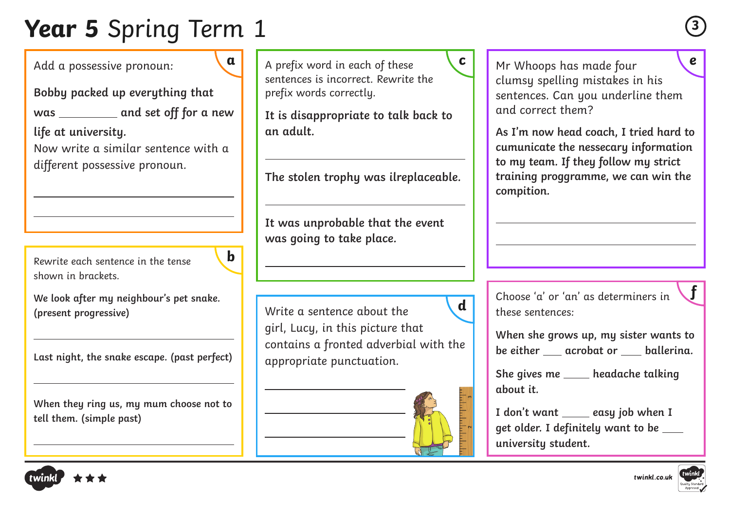# **Year 5** Spring Term 1 **<sup>3</sup>**

Add a possessive pronoun:

**Bobby packed up everything that**  was \_\_\_\_\_\_\_\_\_\_ and set off for a new

**life at university.** 

Now write a similar sentence with a different possessive pronoun.

Rewrite each sentence in the tense shown in brackets

**We look after my neighbour's pet snake. (present progressive)**

**b**

**Last night, the snake escape. (past perfect)**

**When they ring us, my mum choose not to tell them. (simple past)**

sentences is incorrect. Rewrite the prefix words correctly.

**It is disappropriate to talk back to an adult.**

**The stolen trophy was ilreplaceable.**

**It was unprobable that the event was going to take place.**

Write a sentence about the girl, Lucy, in this picture that contains a fronted adverbial with the appropriate punctuation.

A prefix word in each of these **a c e** Mr Whoops has made four clumsy spelling mistakes in his sentences. Can you underline them and correct them?

> **As I'm now head coach, I tried hard to cumunicate the nessecary information to my team. If they follow my strict training proggramme, we can win the compition.**

**d** choose 'a' or 'an' as determiners in these sentences:

> **When she grows up, my sister wants to be either acrobat or ballerina.**

**She gives me headache talking about it.**

**I** don't want \_\_\_\_\_ easy job when **I get older. I definitely want to be university student.**